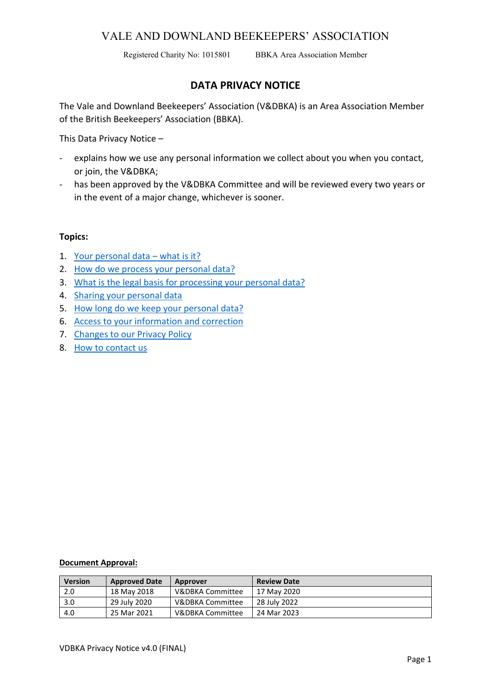Registered Charity No: 1015801 BBKA Area Association Member

# **DATA PRIVACY NOTICE**

The Vale and Downland Beekeepers' Association (V&DBKA) is an Area Association Member of the British Beekeepers' Association (BBKA).

This Data Privacy Notice –

- explains how we use any personal information we collect about you when you contact, or join, the V&DBKA;
- has been approved by the V&DBKA Committee and will be reviewed every two years or in the event of a major change, whichever is sooner.

### **Topics:**

- 1. [Your personal data](#page-1-0)  what is it?
- 2. [How do we process your personal data?](#page-1-1)
- 3. [What is the legal basis for processing your personal data?](#page-1-2)
- 4. [Sharing your personal data](#page-2-0)
- 5. How long do we [keep your personal data?](#page-2-1)
- 6. [Access to your information and correction](#page-2-2)
- 7. [Changes to our Privacy Policy](#page-3-0)
- 8. [How to contact us](#page-3-1)

**Document Approval:**

| Version | <b>Approved Date</b> | Approver         | <b>Review Date</b> |
|---------|----------------------|------------------|--------------------|
| 2.0     | 18 May 2018          | V&DBKA Committee | 17 May 2020        |
| 3.0     | 29 July 2020         | V&DBKA Committee | 28 July 2022       |
| 4.0     | 25 Mar 2021          | V&DBKA Committee | 24 Mar 2023        |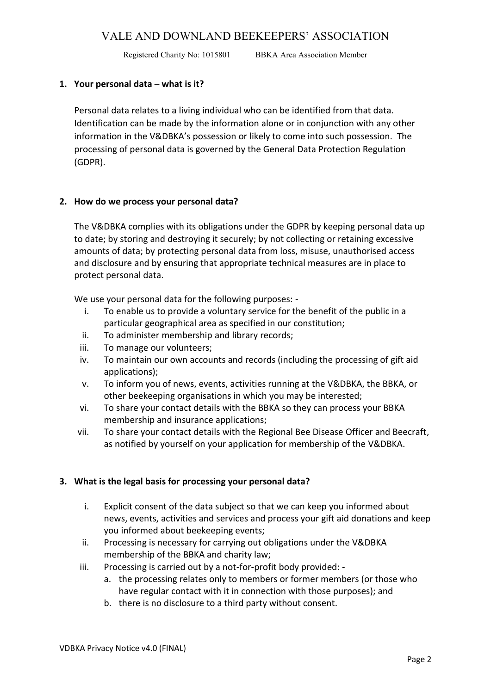Registered Charity No: 1015801 BBKA Area Association Member

## <span id="page-1-0"></span>**1. Your personal data – what is it?**

Personal data relates to a living individual who can be identified from that data. Identification can be made by the information alone or in conjunction with any other information in the V&DBKA's possession or likely to come into such possession. The processing of personal data is governed by the General Data Protection Regulation (GDPR).

## <span id="page-1-1"></span>**2. How do we process your personal data?**

The V&DBKA complies with its obligations under the GDPR by keeping personal data up to date; by storing and destroying it securely; by not collecting or retaining excessive amounts of data; by protecting personal data from loss, misuse, unauthorised access and disclosure and by ensuring that appropriate technical measures are in place to protect personal data.

We use your personal data for the following purposes: -

- i. To enable us to provide a voluntary service for the benefit of the public in a particular geographical area as specified in our constitution;
- ii. To administer membership and library records;
- iii. To manage our volunteers;
- iv. To maintain our own accounts and records (including the processing of gift aid applications);
- v. To inform you of news, events, activities running at the V&DBKA, the BBKA, or other beekeeping organisations in which you may be interested;
- vi. To share your contact details with the BBKA so they can process your BBKA membership and insurance applications;
- vii. To share your contact details with the Regional Bee Disease Officer and Beecraft, as notified by yourself on your application for membership of the V&DBKA.

## <span id="page-1-2"></span>**3. What is the legal basis for processing your personal data?**

- i. Explicit consent of the data subject so that we can keep you informed about news, events, activities and services and process your gift aid donations and keep you informed about beekeeping events;
- ii. Processing is necessary for carrying out obligations under the V&DBKA membership of the BBKA and charity law;
- iii. Processing is carried out by a not-for-profit body provided:
	- a. the processing relates only to members or former members (or those who have regular contact with it in connection with those purposes); and
	- b. there is no disclosure to a third party without consent.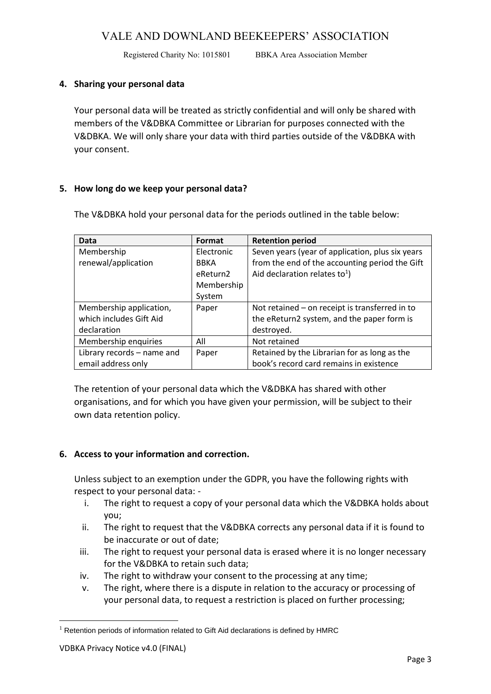Registered Charity No: 1015801 BBKA Area Association Member

### <span id="page-2-0"></span>**4. Sharing your personal data**

Your personal data will be treated as strictly confidential and will only be shared with members of the V&DBKA Committee or Librarian for purposes connected with the V&DBKA. We will only share your data with third parties outside of the V&DBKA with your consent.

### <span id="page-2-1"></span>**5. How long do we keep your personal data?**

| Data                       | Format      | <b>Retention period</b>                          |
|----------------------------|-------------|--------------------------------------------------|
| Membership                 | Electronic  | Seven years (year of application, plus six years |
| renewal/application        | <b>BBKA</b> | from the end of the accounting period the Gift   |
|                            | eReturn2    | Aid declaration relates to <sup>1</sup> )        |
|                            | Membership  |                                                  |
|                            | System      |                                                  |
| Membership application,    | Paper       | Not retained – on receipt is transferred in to   |
| which includes Gift Aid    |             | the eReturn2 system, and the paper form is       |
| declaration                |             | destroyed.                                       |
| Membership enquiries       | All         | Not retained                                     |
| Library records - name and | Paper       | Retained by the Librarian for as long as the     |
| email address only         |             | book's record card remains in existence          |

The V&DBKA hold your personal data for the periods outlined in the table below:

The retention of your personal data which the V&DBKA has shared with other organisations, and for which you have given your permission, will be subject to their own data retention policy.

## <span id="page-2-2"></span>**6. Access to your information and correction.**

Unless subject to an exemption under the GDPR, you have the following rights with respect to your personal data: -

- i. The right to request a copy of your personal data which the V&DBKA holds about you;
- ii. The right to request that the V&DBKA corrects any personal data if it is found to be inaccurate or out of date;
- iii. The right to request your personal data is erased where it is no longer necessary for the V&DBKA to retain such data;
- iv. The right to withdraw your consent to the processing at any time;
- v. The right, where there is a dispute in relation to the accuracy or processing of your personal data, to request a restriction is placed on further processing;

<sup>&</sup>lt;sup>1</sup> Retention periods of information related to Gift Aid declarations is defined by HMRC